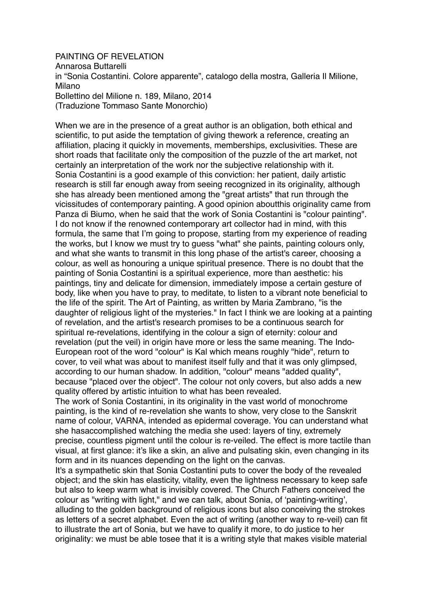## PAINTING OF REVELATION Annarosa Buttarelli in "Sonia Costantini. Colore apparente", catalogo della mostra, Galleria Il Milione, Milano Bollettino del Milione n. 189, Milano, 2014 (Traduzione Tommaso Sante Monorchio)

When we are in the presence of a great author is an obligation, both ethical and scientific, to put aside the temptation of giving thework a reference, creating an affiliation, placing it quickly in movements, memberships, exclusivities. These are short roads that facilitate only the composition of the puzzle of the art market, not certainly an interpretation of the work nor the subjective relationship with it. Sonia Costantini is a good example of this conviction: her patient, daily artistic research is still far enough away from seeing recognized in its originality, although she has already been mentioned among the "great artists" that run through the vicissitudes of contemporary painting. A good opinion aboutthis originality came from Panza di Biumo, when he said that the work of Sonia Costantini is "colour painting". I do not know if the renowned contemporary art collector had in mind, with this formula, the same that I'm going to propose, starting from my experience of reading the works, but I know we must try to guess "what" she paints, painting colours only, and what she wants to transmit in this long phase of the artist's career, choosing a colour, as well as honouring a unique spiritual presence. There is no doubt that the painting of Sonia Costantini is a spiritual experience, more than aesthetic: his paintings, tiny and delicate for dimension, immediately impose a certain gesture of body, like when you have to pray, to meditate, to listen to a vibrant note beneficial to the life of the spirit. The Art of Painting, as written by Maria Zambrano, "is the daughter of religious light of the mysteries." In fact I think we are looking at a painting of revelation, and the artist's research promises to be a continuous search for spiritual re-revelations, identifying in the colour a sign of eternity: colour and revelation (put the veil) in origin have more or less the same meaning. The Indo-European root of the word "colour" is Kal which means roughly "hide", return to cover, to veil what was about to manifest itself fully and that it was only glimpsed, according to our human shadow. In addition, "colour" means "added quality", because "placed over the object". The colour not only covers, but also adds a new quality offered by artistic intuition to what has been revealed.

The work of Sonia Costantini, in its originality in the vast world of monochrome painting, is the kind of re-revelation she wants to show, very close to the Sanskrit name of colour, VARNA, intended as epidermal coverage. You can understand what she hasaccomplished watching the media she used: layers of tiny, extremely precise, countless pigment until the colour is re-veiled. The effect is more tactile than visual, at first glance: it's like a skin, an alive and pulsating skin, even changing in its form and in its nuances depending on the light on the canvas.

It's a sympathetic skin that Sonia Costantini puts to cover the body of the revealed object; and the skin has elasticity, vitality, even the lightness necessary to keep safe but also to keep warm what is invisibly covered. The Church Fathers conceived the colour as "writing with light," and we can talk, about Sonia, of 'painting-writing', alluding to the golden background of religious icons but also conceiving the strokes as letters of a secret alphabet. Even the act of writing (another way to re-veil) can fit to illustrate the art of Sonia, but we have to qualify it more, to do justice to her originality: we must be able tosee that it is a writing style that makes visible material